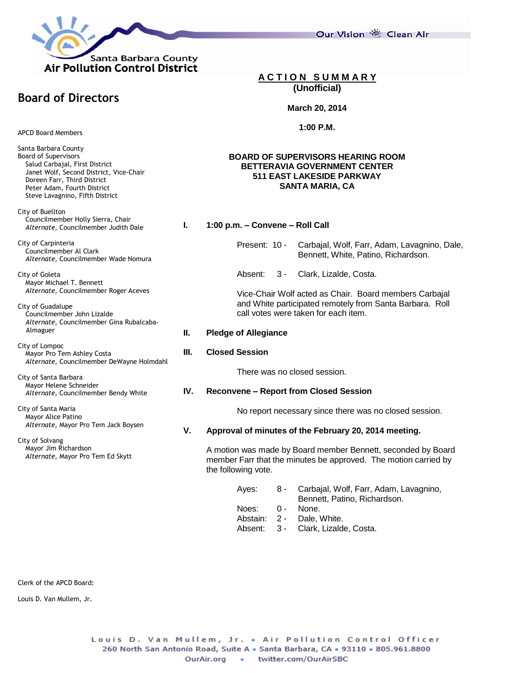

Our Vision 卷 Clean Air

# **A C T I O N S U M M A R Y (Unofficial)**

#### **March 20, 2014**

**1:00 P.M.**

### **BOARD OF SUPERVISORS HEARING ROOM BETTERAVIA GOVERNMENT CENTER 511 EAST LAKESIDE PARKWAY SANTA MARIA, CA**

#### **I. 1:00 p.m. – Convene – Roll Call**

- Present: 10 Carbajal, Wolf, Farr, Adam, Lavagnino, Dale, Bennett, White, Patino, Richardson.
- Absent: 3 Clark, Lizalde, Costa.

Vice-Chair Wolf acted as Chair. Board members Carbajal and White participated remotely from Santa Barbara. Roll call votes were taken for each item.

#### **II. Pledge of Allegiance**

## **III. Closed Session**

There was no closed session.

#### **IV. Reconvene – Report from Closed Session**

No report necessary since there was no closed session.

## **V. Approval of minutes of the February 20, 2014 meeting.**

A motion was made by Board member Bennett, seconded by Board member Farr that the minutes be approved. The motion carried by the following vote.

> Ayes: 8 - Carbajal, Wolf, Farr, Adam, Lavagnino, Bennett, Patino, Richardson.

- Noes: 0 None.
- Abstain: 2 Dale, White.
- Absent: 3 Clark, Lizalde, Costa.

APCD Board Members

**Board of Directors**

Santa Barbara County Board of Supervisors Salud Carbajal, First District Janet Wolf, Second District, Vice-Chair Doreen Farr, Third District Peter Adam, Fourth District Steve Lavagnino, Fifth District

City of Buellton Councilmember Holly Sierra, Chair *Alternate*, Councilmember Judith Dale

City of Carpinteria Councilmember Al Clark *Alternate*, Councilmember Wade Nomura

City of Goleta Mayor Michael T. Bennett *Alternate*, Councilmember Roger Aceves

City of Guadalupe Councilmember John Lizalde *Alternate*, Councilmember Gina Rubalcaba- Almaguer

City of Lompoc Mayor Pro Tem Ashley Costa *Alternate*, Councilmember DeWayne Holmdahl

City of Santa Barbara Mayor Helene Schneider *Alternate*, Councilmember Bendy White

City of Santa Maria Mayor Alice Patino *Alternate*, Mayor Pro Tem Jack Boysen

City of Solvang Mayor Jim Richardson *Alternate*, Mayor Pro Tem Ed Skytt

Clerk of the APCD Board:

Louis D. Van Mullem, Jr.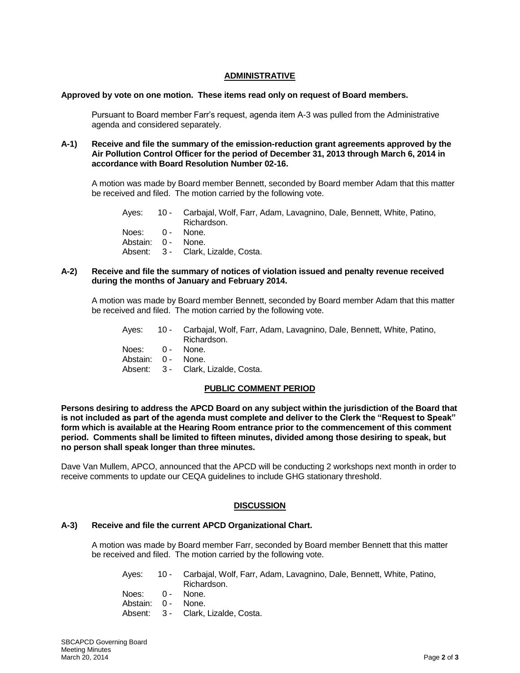## **ADMINISTRATIVE**

### **Approved by vote on one motion. These items read only on request of Board members.**

Pursuant to Board member Farr's request, agenda item A-3 was pulled from the Administrative agenda and considered separately.

#### **A-1) Receive and file the summary of the emission-reduction grant agreements approved by the Air Pollution Control Officer for the period of December 31, 2013 through March 6, 2014 in accordance with Board Resolution Number 02-16.**

A motion was made by Board member Bennett, seconded by Board member Adam that this matter be received and filed. The motion carried by the following vote.

| Aves:           | 10 - Carbajal, Wolf, Farr, Adam, Lavagnino, Dale, Bennett, White, Patino, |
|-----------------|---------------------------------------------------------------------------|
|                 | Richardson.                                                               |
| Noes: 0 - None. |                                                                           |

- Abstain: 0 None.
- Absent: 3 Clark, Lizalde, Costa.

### **A-2) Receive and file the summary of notices of violation issued and penalty revenue received during the months of January and February 2014.**

A motion was made by Board member Bennett, seconded by Board member Adam that this matter be received and filed. The motion carried by the following vote.

| Aves: | 10 - Carbajal, Wolf, Farr, Adam, Lavagnino, Dale, Bennett, White, Patino, |
|-------|---------------------------------------------------------------------------|
|       | Richardson.                                                               |

- Noes: 0 None.
- Abstain: 0 None.
- Absent: 3 Clark, Lizalde, Costa.

## **PUBLIC COMMENT PERIOD**

**Persons desiring to address the APCD Board on any subject within the jurisdiction of the Board that is not included as part of the agenda must complete and deliver to the Clerk the "Request to Speak" form which is available at the Hearing Room entrance prior to the commencement of this comment period. Comments shall be limited to fifteen minutes, divided among those desiring to speak, but no person shall speak longer than three minutes.**

Dave Van Mullem, APCO, announced that the APCD will be conducting 2 workshops next month in order to receive comments to update our CEQA guidelines to include GHG stationary threshold.

## **DISCUSSION**

## **A-3) Receive and file the current APCD Organizational Chart.**

A motion was made by Board member Farr, seconded by Board member Bennett that this matter be received and filed. The motion carried by the following vote.

- Ayes: 10 Carbajal, Wolf, Farr, Adam, Lavagnino, Dale, Bennett, White, Patino, Richardson. Noes: 0 - None.
- Abstain: 0 None.
- Absent: 3 Clark, Lizalde, Costa.